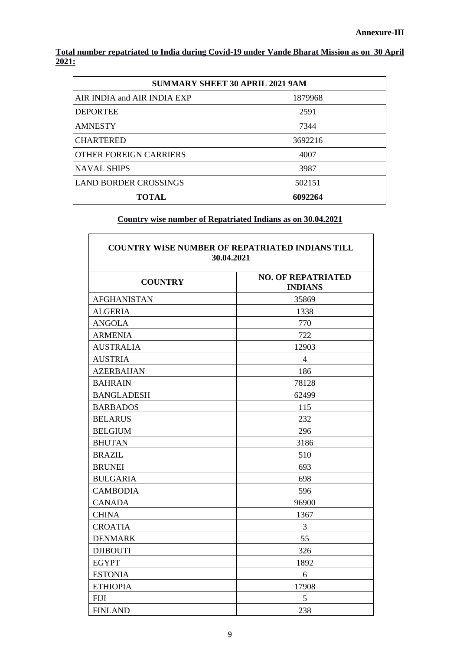**Total number repatriated to India during Covid-19 under Vande Bharat Mission as on 30 April 2021:** 

| <b>SUMMARY SHEET 30 APRIL 2021 9AM</b> |         |  |
|----------------------------------------|---------|--|
| AIR INDIA and AIR INDIA EXP            | 1879968 |  |
| <b>DEPORTEE</b>                        | 2591    |  |
| <b>AMNESTY</b>                         | 7344    |  |
| <b>CHARTERED</b>                       | 3692216 |  |
| OTHER FOREIGN CARRIERS                 | 4007    |  |
| <b>NAVAL SHIPS</b>                     | 3987    |  |
| <b>LAND BORDER CROSSINGS</b>           | 502151  |  |
| <b>TOTAL</b>                           | 6092264 |  |

## **Country wise number of Repatriated Indians as on 30.04.2021**

 $\overline{\phantom{a}}$ 

| <b>COUNTRY WISE NUMBER OF REPATRIATED INDIANS TILL</b><br>30.04.2021 |                                             |  |
|----------------------------------------------------------------------|---------------------------------------------|--|
| <b>COUNTRY</b>                                                       | <b>NO. OF REPATRIATED</b><br><b>INDIANS</b> |  |
| <b>AFGHANISTAN</b>                                                   | 35869                                       |  |
| <b>ALGERIA</b>                                                       | 1338                                        |  |
| <b>ANGOLA</b>                                                        | 770                                         |  |
| <b>ARMENIA</b>                                                       | 722                                         |  |
| <b>AUSTRALIA</b>                                                     | 12903                                       |  |
| <b>AUSTRIA</b>                                                       | $\overline{4}$                              |  |
| <b>AZERBAIJAN</b>                                                    | 186                                         |  |
| <b>BAHRAIN</b>                                                       | 78128                                       |  |
| <b>BANGLADESH</b>                                                    | 62499                                       |  |
| <b>BARBADOS</b>                                                      | 115                                         |  |
| <b>BELARUS</b>                                                       | 232                                         |  |
| <b>BELGIUM</b>                                                       | 296                                         |  |
| <b>BHUTAN</b>                                                        | 3186                                        |  |
| <b>BRAZIL</b>                                                        | 510                                         |  |
| <b>BRUNEI</b>                                                        | 693                                         |  |
| <b>BULGARIA</b>                                                      | 698                                         |  |
| <b>CAMBODIA</b>                                                      | 596                                         |  |
| <b>CANADA</b>                                                        | 96900                                       |  |
| <b>CHINA</b>                                                         | 1367                                        |  |
| <b>CROATIA</b>                                                       | 3                                           |  |
| <b>DENMARK</b>                                                       | 55                                          |  |
| <b>DJIBOUTI</b>                                                      | 326                                         |  |
| <b>EGYPT</b>                                                         | 1892                                        |  |
| <b>ESTONIA</b>                                                       | 6                                           |  |
| <b>ETHIOPIA</b>                                                      | 17908                                       |  |
| <b>FIJI</b>                                                          | 5                                           |  |
| <b>FINLAND</b>                                                       | 238                                         |  |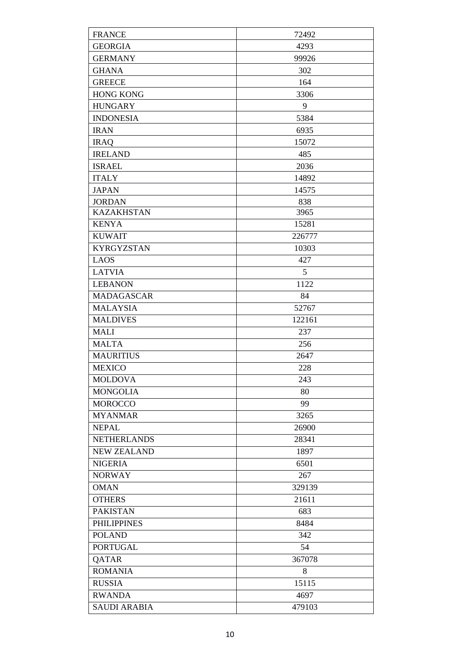| <b>FRANCE</b>       | 72492  |
|---------------------|--------|
| <b>GEORGIA</b>      | 4293   |
| <b>GERMANY</b>      | 99926  |
| <b>GHANA</b>        | 302    |
| <b>GREECE</b>       | 164    |
| <b>HONG KONG</b>    | 3306   |
| <b>HUNGARY</b>      | 9      |
| <b>INDONESIA</b>    | 5384   |
| <b>IRAN</b>         | 6935   |
| <b>IRAQ</b>         | 15072  |
| <b>IRELAND</b>      | 485    |
| <b>ISRAEL</b>       | 2036   |
| <b>ITALY</b>        | 14892  |
| <b>JAPAN</b>        | 14575  |
| <b>JORDAN</b>       | 838    |
| <b>KAZAKHSTAN</b>   | 3965   |
| <b>KENYA</b>        | 15281  |
| <b>KUWAIT</b>       | 226777 |
| <b>KYRGYZSTAN</b>   | 10303  |
| <b>LAOS</b>         | 427    |
| <b>LATVIA</b>       | 5      |
| <b>LEBANON</b>      | 1122   |
| MADAGASCAR          | 84     |
| <b>MALAYSIA</b>     | 52767  |
| <b>MALDIVES</b>     | 122161 |
| <b>MALI</b>         | 237    |
| <b>MALTA</b>        | 256    |
| <b>MAURITIUS</b>    | 2647   |
| <b>MEXICO</b>       | 228    |
| <b>MOLDOVA</b>      | 243    |
| <b>MONGOLIA</b>     | 80     |
| <b>MOROCCO</b>      | 99     |
| <b>MYANMAR</b>      | 3265   |
| <b>NEPAL</b>        | 26900  |
| <b>NETHERLANDS</b>  | 28341  |
| <b>NEW ZEALAND</b>  | 1897   |
| <b>NIGERIA</b>      | 6501   |
| <b>NORWAY</b>       | 267    |
| <b>OMAN</b>         | 329139 |
| <b>OTHERS</b>       | 21611  |
| <b>PAKISTAN</b>     | 683    |
| <b>PHILIPPINES</b>  | 8484   |
| <b>POLAND</b>       | 342    |
| <b>PORTUGAL</b>     | 54     |
| QATAR               | 367078 |
| <b>ROMANIA</b>      | 8      |
| <b>RUSSIA</b>       | 15115  |
| <b>RWANDA</b>       | 4697   |
| <b>SAUDI ARABIA</b> | 479103 |
|                     |        |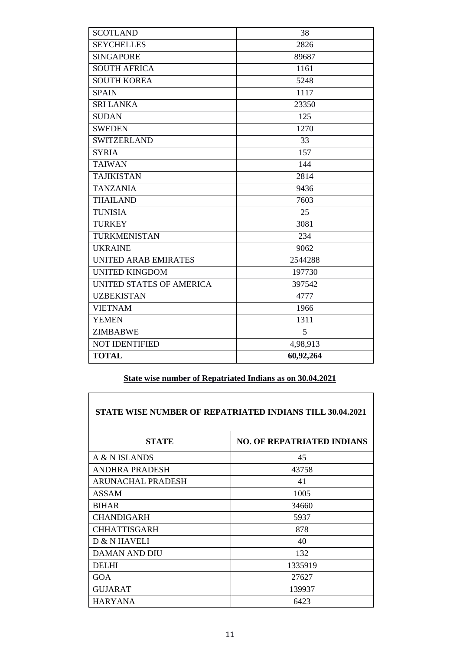| <b>SEYCHELLES</b><br>2826<br><b>SINGAPORE</b><br>89687<br><b>SOUTH AFRICA</b><br>1161<br><b>SOUTH KOREA</b><br>5248<br>1117<br><b>SPAIN</b><br><b>SRI LANKA</b><br>23350<br><b>SUDAN</b><br>125<br><b>SWEDEN</b><br>1270<br><b>SWITZERLAND</b><br>33<br><b>SYRIA</b><br>157<br><b>TAIWAN</b><br>144<br><b>TAJIKISTAN</b><br>2814<br><b>TANZANIA</b><br>9436<br><b>THAILAND</b><br>7603<br><b>TUNISIA</b><br>25<br><b>TURKEY</b><br>3081<br>TURKMENISTAN<br>234<br><b>UKRAINE</b><br>9062<br><b>UNITED ARAB EMIRATES</b><br>2544288<br><b>UNITED KINGDOM</b><br>197730<br>UNITED STATES OF AMERICA<br>397542<br><b>UZBEKISTAN</b><br>4777<br><b>VIETNAM</b><br>1966<br><b>YEMEN</b><br>1311<br><b>ZIMBABWE</b><br>5<br><b>NOT IDENTIFIED</b><br>4,98,913<br><b>TOTAL</b><br>60,92,264 | <b>SCOTLAND</b> | 38 |
|--------------------------------------------------------------------------------------------------------------------------------------------------------------------------------------------------------------------------------------------------------------------------------------------------------------------------------------------------------------------------------------------------------------------------------------------------------------------------------------------------------------------------------------------------------------------------------------------------------------------------------------------------------------------------------------------------------------------------------------------------------------------------------------|-----------------|----|
|                                                                                                                                                                                                                                                                                                                                                                                                                                                                                                                                                                                                                                                                                                                                                                                      |                 |    |
|                                                                                                                                                                                                                                                                                                                                                                                                                                                                                                                                                                                                                                                                                                                                                                                      |                 |    |
|                                                                                                                                                                                                                                                                                                                                                                                                                                                                                                                                                                                                                                                                                                                                                                                      |                 |    |
|                                                                                                                                                                                                                                                                                                                                                                                                                                                                                                                                                                                                                                                                                                                                                                                      |                 |    |
|                                                                                                                                                                                                                                                                                                                                                                                                                                                                                                                                                                                                                                                                                                                                                                                      |                 |    |
|                                                                                                                                                                                                                                                                                                                                                                                                                                                                                                                                                                                                                                                                                                                                                                                      |                 |    |
|                                                                                                                                                                                                                                                                                                                                                                                                                                                                                                                                                                                                                                                                                                                                                                                      |                 |    |
|                                                                                                                                                                                                                                                                                                                                                                                                                                                                                                                                                                                                                                                                                                                                                                                      |                 |    |
|                                                                                                                                                                                                                                                                                                                                                                                                                                                                                                                                                                                                                                                                                                                                                                                      |                 |    |
|                                                                                                                                                                                                                                                                                                                                                                                                                                                                                                                                                                                                                                                                                                                                                                                      |                 |    |
|                                                                                                                                                                                                                                                                                                                                                                                                                                                                                                                                                                                                                                                                                                                                                                                      |                 |    |
|                                                                                                                                                                                                                                                                                                                                                                                                                                                                                                                                                                                                                                                                                                                                                                                      |                 |    |
|                                                                                                                                                                                                                                                                                                                                                                                                                                                                                                                                                                                                                                                                                                                                                                                      |                 |    |
|                                                                                                                                                                                                                                                                                                                                                                                                                                                                                                                                                                                                                                                                                                                                                                                      |                 |    |
|                                                                                                                                                                                                                                                                                                                                                                                                                                                                                                                                                                                                                                                                                                                                                                                      |                 |    |
|                                                                                                                                                                                                                                                                                                                                                                                                                                                                                                                                                                                                                                                                                                                                                                                      |                 |    |
|                                                                                                                                                                                                                                                                                                                                                                                                                                                                                                                                                                                                                                                                                                                                                                                      |                 |    |
|                                                                                                                                                                                                                                                                                                                                                                                                                                                                                                                                                                                                                                                                                                                                                                                      |                 |    |
|                                                                                                                                                                                                                                                                                                                                                                                                                                                                                                                                                                                                                                                                                                                                                                                      |                 |    |
|                                                                                                                                                                                                                                                                                                                                                                                                                                                                                                                                                                                                                                                                                                                                                                                      |                 |    |
|                                                                                                                                                                                                                                                                                                                                                                                                                                                                                                                                                                                                                                                                                                                                                                                      |                 |    |
|                                                                                                                                                                                                                                                                                                                                                                                                                                                                                                                                                                                                                                                                                                                                                                                      |                 |    |
|                                                                                                                                                                                                                                                                                                                                                                                                                                                                                                                                                                                                                                                                                                                                                                                      |                 |    |
|                                                                                                                                                                                                                                                                                                                                                                                                                                                                                                                                                                                                                                                                                                                                                                                      |                 |    |
|                                                                                                                                                                                                                                                                                                                                                                                                                                                                                                                                                                                                                                                                                                                                                                                      |                 |    |
|                                                                                                                                                                                                                                                                                                                                                                                                                                                                                                                                                                                                                                                                                                                                                                                      |                 |    |
|                                                                                                                                                                                                                                                                                                                                                                                                                                                                                                                                                                                                                                                                                                                                                                                      |                 |    |

## **State wise number of Repatriated Indians as on 30.04.2021**

 $\overline{\phantom{a}}$ 

 $\Gamma$ 

| <b>STATE WISE NUMBER OF REPATRIATED INDIANS TILL 30.04.2021</b> |                                   |  |
|-----------------------------------------------------------------|-----------------------------------|--|
| <b>STATE</b>                                                    | <b>NO. OF REPATRIATED INDIANS</b> |  |
| A & N ISLANDS                                                   | 45                                |  |
| ANDHRA PRADESH                                                  | 43758                             |  |
| <b>ARUNACHAL PRADESH</b>                                        | 41                                |  |
| <b>ASSAM</b>                                                    | 1005                              |  |
| <b>BIHAR</b>                                                    | 34660                             |  |
| <b>CHANDIGARH</b>                                               | 5937                              |  |
| <b>CHHATTISGARH</b>                                             | 878                               |  |
| D & N HAVELI                                                    | 40                                |  |
| <b>DAMAN AND DIU</b>                                            | 132                               |  |
| <b>DELHI</b>                                                    | 1335919                           |  |
| GOA                                                             | 27627                             |  |
| <b>GUJARAT</b>                                                  | 139937                            |  |
| <b>HARYANA</b>                                                  | 6423                              |  |